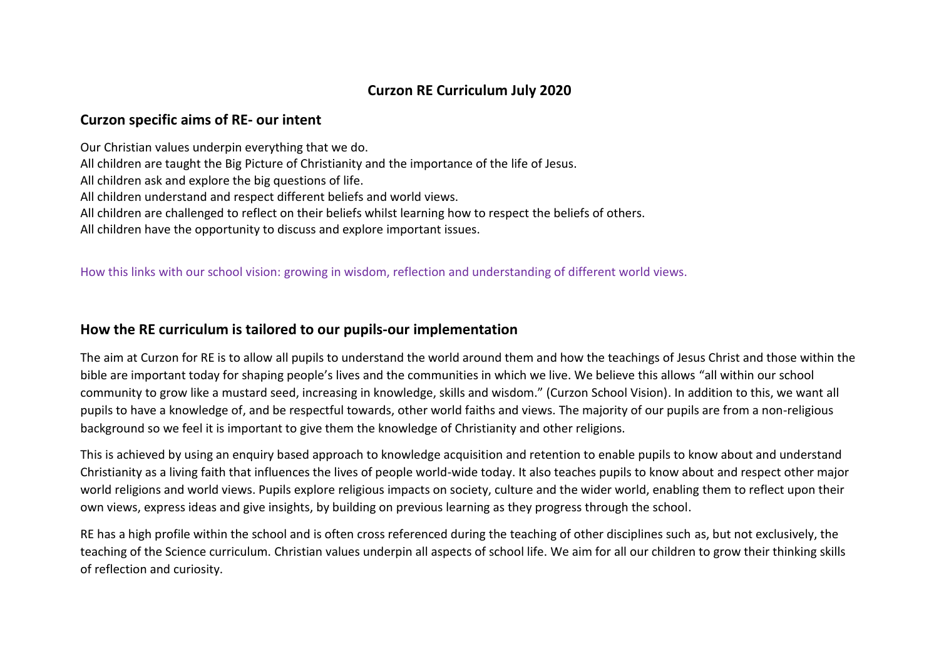# **Curzon RE Curriculum July 2020**

### **Curzon specific aims of RE- our intent**

Our Christian values underpin everything that we do.

All children are taught the Big Picture of Christianity and the importance of the life of Jesus.

All children ask and explore the big questions of life.

All children understand and respect different beliefs and world views.

All children are challenged to reflect on their beliefs whilst learning how to respect the beliefs of others.

All children have the opportunity to discuss and explore important issues.

## How this links with our school vision: growing in wisdom, reflection and understanding of different world views.

# **How the RE curriculum is tailored to our pupils-our implementation**

The aim at Curzon for RE is to allow all pupils to understand the world around them and how the teachings of Jesus Christ and those within the bible are important today for shaping people's lives and the communities in which we live. We believe this allows "all within our school community to grow like a mustard seed, increasing in knowledge, skills and wisdom." (Curzon School Vision). In addition to this, we want all pupils to have a knowledge of, and be respectful towards, other world faiths and views. The majority of our pupils are from a non-religious background so we feel it is important to give them the knowledge of Christianity and other religions.

This is achieved by using an enquiry based approach to knowledge acquisition and retention to enable pupils to know about and understand Christianity as a living faith that influences the lives of people world-wide today. It also teaches pupils to know about and respect other major world religions and world views. Pupils explore religious impacts on society, culture and the wider world, enabling them to reflect upon their own views, express ideas and give insights, by building on previous learning as they progress through the school.

RE has a high profile within the school and is often cross referenced during the teaching of other disciplines such as, but not exclusively, the teaching of the Science curriculum. Christian values underpin all aspects of school life. We aim for all our children to grow their thinking skills of reflection and curiosity.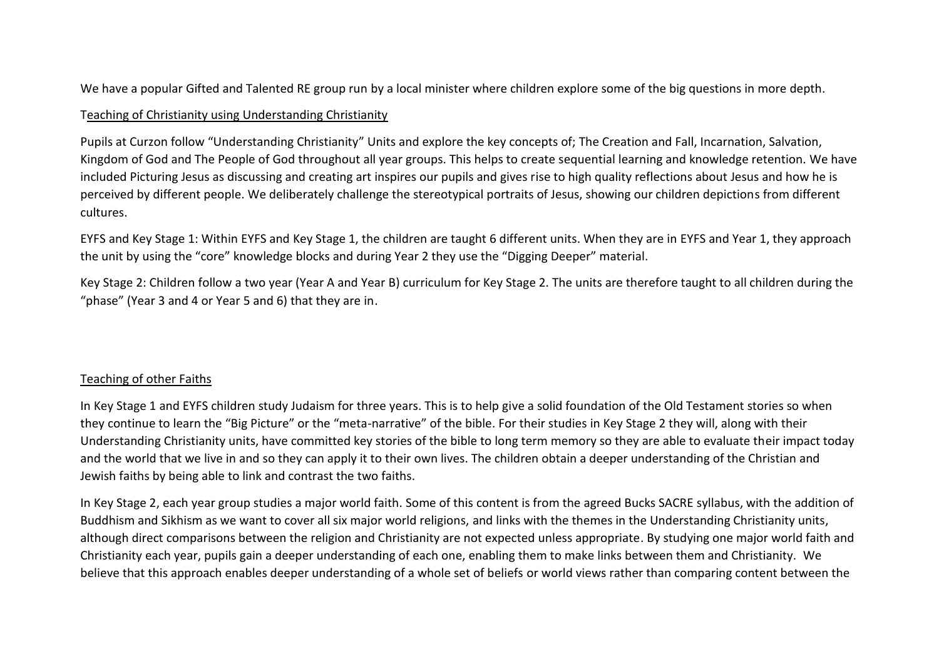We have a popular Gifted and Talented RE group run by a local minister where children explore some of the big questions in more depth.

### Teaching of Christianity using Understanding Christianity

Pupils at Curzon follow "Understanding Christianity" Units and explore the key concepts of; The Creation and Fall, Incarnation, Salvation, Kingdom of God and The People of God throughout all year groups. This helps to create sequential learning and knowledge retention. We have included Picturing Jesus as discussing and creating art inspires our pupils and gives rise to high quality reflections about Jesus and how he is perceived by different people. We deliberately challenge the stereotypical portraits of Jesus, showing our children depictions from different cultures.

EYFS and Key Stage 1: Within EYFS and Key Stage 1, the children are taught 6 different units. When they are in EYFS and Year 1, they approach the unit by using the "core" knowledge blocks and during Year 2 they use the "Digging Deeper" material.

Key Stage 2: Children follow a two year (Year A and Year B) curriculum for Key Stage 2. The units are therefore taught to all children during the "phase" (Year 3 and 4 or Year 5 and 6) that they are in.

#### Teaching of other Faiths

In Key Stage 1 and EYFS children study Judaism for three years. This is to help give a solid foundation of the Old Testament stories so when they continue to learn the "Big Picture" or the "meta-narrative" of the bible. For their studies in Key Stage 2 they will, along with their Understanding Christianity units, have committed key stories of the bible to long term memory so they are able to evaluate their impact today and the world that we live in and so they can apply it to their own lives. The children obtain a deeper understanding of the Christian and Jewish faiths by being able to link and contrast the two faiths.

In Key Stage 2, each year group studies a major world faith. Some of this content is from the agreed Bucks SACRE syllabus, with the addition of Buddhism and Sikhism as we want to cover all six major world religions, and links with the themes in the Understanding Christianity units, although direct comparisons between the religion and Christianity are not expected unless appropriate. By studying one major world faith and Christianity each year, pupils gain a deeper understanding of each one, enabling them to make links between them and Christianity. We believe that this approach enables deeper understanding of a whole set of beliefs or world views rather than comparing content between the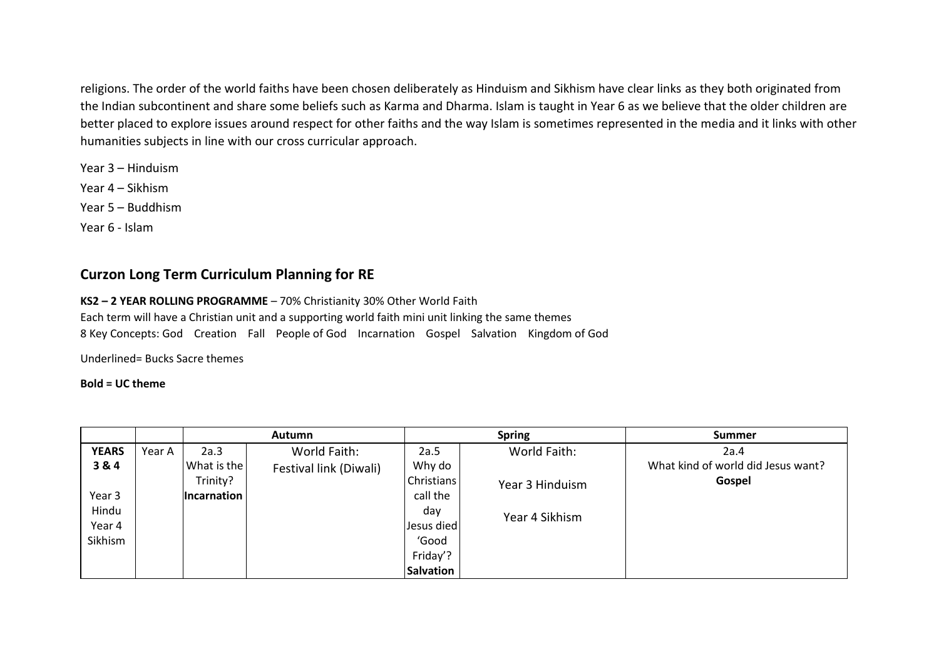religions. The order of the world faiths have been chosen deliberately as Hinduism and Sikhism have clear links as they both originated from the Indian subcontinent and share some beliefs such as Karma and Dharma. Islam is taught in Year 6 as we believe that the older children are better placed to explore issues around respect for other faiths and the way Islam is sometimes represented in the media and it links with other humanities subjects in line with our cross curricular approach.

Year 3 – Hinduism Year 4 – Sikhism Year 5 – Buddhism Year 6 - Islam

## **Curzon Long Term Curriculum Planning for RE**

#### **KS2 – 2 YEAR ROLLING PROGRAMME** – 70% Christianity 30% Other World Faith

Each term will have a Christian unit and a supporting world faith mini unit linking the same themes  8 Key Concepts: God    Creation    Fall    People of God    Incarnation    Gospel    Salvation    Kingdom of God 

Underlined= Bucks Sacre themes

#### **Bold = UC theme**

|              |        | Autumn             |                        |                   | <b>Spring</b>   | <b>Summer</b>                      |
|--------------|--------|--------------------|------------------------|-------------------|-----------------|------------------------------------|
| <b>YEARS</b> | Year A | 2a.3               | World Faith:           | 2a.5              | World Faith:    | 2a.4                               |
| 3 & 4        |        | What is the        | Festival link (Diwali) | Why do            |                 | What kind of world did Jesus want? |
|              |        | Trinity?           |                        | <b>Christians</b> | Year 3 Hinduism | Gospel                             |
| Year 3       |        | <b>Incarnation</b> |                        | call the          |                 |                                    |
| Hindu        |        |                    |                        | day               | Year 4 Sikhism  |                                    |
| Year 4       |        |                    |                        | Jesus died        |                 |                                    |
| Sikhism      |        |                    |                        | 'Good             |                 |                                    |
|              |        |                    |                        | Friday'?          |                 |                                    |
|              |        |                    |                        | <b>Salvation</b>  |                 |                                    |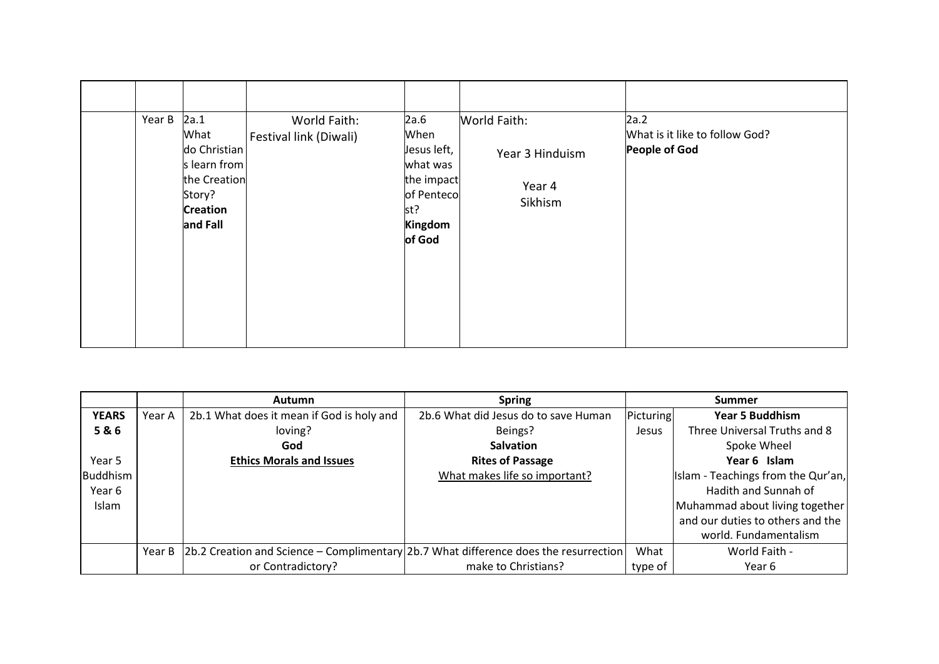| Year B | 2a.1<br>What<br>do Christian                                          | World Faith:<br>Festival link (Diwali) | 2a.6<br>When<br>Jesus left,                                      | World Faith:<br>Year 3 Hinduism | 2a.2<br>What is it like to follow God?<br>People of God |
|--------|-----------------------------------------------------------------------|----------------------------------------|------------------------------------------------------------------|---------------------------------|---------------------------------------------------------|
|        | s learn from<br>the Creation<br>Story?<br><b>Creation</b><br>and Fall |                                        | what was<br>the impact<br>of Penteco<br>st?<br>Kingdom<br>of God | Year 4<br>Sikhism               |                                                         |

|              |        | <b>Autumn</b>                                                                                   | <b>Spring</b>                        |           | Summer                             |  |
|--------------|--------|-------------------------------------------------------------------------------------------------|--------------------------------------|-----------|------------------------------------|--|
| <b>YEARS</b> | Year A | 2b.1 What does it mean if God is holy and                                                       | 2b.6 What did Jesus do to save Human | Picturing | <b>Year 5 Buddhism</b>             |  |
| 5&6          |        | loving?                                                                                         | Beings?                              | Jesus     | Three Universal Truths and 8       |  |
|              |        | God                                                                                             | <b>Salvation</b>                     |           | Spoke Wheel                        |  |
| Year 5       |        | <b>Ethics Morals and Issues</b>                                                                 | <b>Rites of Passage</b>              |           | Year 6 Islam                       |  |
| Buddhism     |        |                                                                                                 | What makes life so important?        |           | Islam - Teachings from the Qur'an, |  |
| Year 6       |        |                                                                                                 |                                      |           | Hadith and Sunnah of               |  |
| Islam        |        |                                                                                                 |                                      |           | Muhammad about living together     |  |
|              |        |                                                                                                 |                                      |           | and our duties to others and the   |  |
|              |        |                                                                                                 |                                      |           | world. Fundamentalism              |  |
|              |        | Year B   2b.2 Creation and Science - Complimentary   2b.7 What difference does the resurrection |                                      | What      | World Faith -                      |  |
|              |        | or Contradictory?                                                                               | make to Christians?                  | type of   | Year 6                             |  |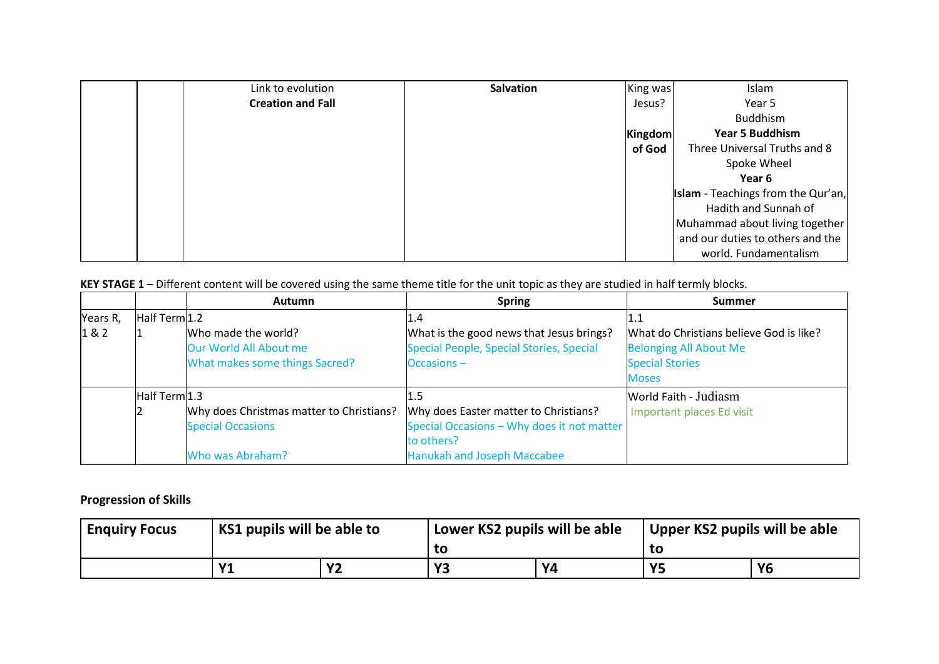| Link to evolution        | <b>Salvation</b> | King was | Islam                                     |
|--------------------------|------------------|----------|-------------------------------------------|
| <b>Creation and Fall</b> |                  | Jesus?   | Year 5                                    |
|                          |                  |          | <b>Buddhism</b>                           |
|                          |                  | Kingdom  | <b>Year 5 Buddhism</b>                    |
|                          |                  | of God   | Three Universal Truths and 8              |
|                          |                  |          | Spoke Wheel                               |
|                          |                  |          | Year 6                                    |
|                          |                  |          | <b>Islam</b> - Teachings from the Qur'an, |
|                          |                  |          | Hadith and Sunnah of                      |
|                          |                  |          | Muhammad about living together            |
|                          |                  |          | and our duties to others and the          |
|                          |                  |          | world. Fundamentalism                     |

**KEY STAGE 1** – Different content will be covered using the same theme title for the unit topic as they are studied in half termly blocks.

|          |               | <b>Autumn</b>                            | <b>Spring</b>                              | <b>Summer</b>                           |
|----------|---------------|------------------------------------------|--------------------------------------------|-----------------------------------------|
| Years R, | Half Term 1.2 |                                          | L.4                                        |                                         |
| 1&2      |               | Who made the world?                      | What is the good news that Jesus brings?   | What do Christians believe God is like? |
|          |               | Our World All About me                   | Special People, Special Stories, Special   | <b>Belonging All About Me</b>           |
|          |               | What makes some things Sacred?           | Occasions-                                 | <b>Special Stories</b>                  |
|          |               |                                          |                                            | <b>Moses</b>                            |
|          | Half Term 1.3 |                                          |                                            | <b>World Faith - Judiasm</b>            |
|          |               | Why does Christmas matter to Christians? | Why does Easter matter to Christians?      | Important places Ed visit               |
|          |               | <b>Special Occasions</b>                 | Special Occasions - Why does it not matter |                                         |
|          |               |                                          | to others?                                 |                                         |
|          |               | Who was Abraham?                         | <b>Hanukah and Joseph Maccabee</b>         |                                         |

## **Progression of Skills**

| <b>Enguiry Focus</b> | KS1 pupils will be able to |              | Lower KS2 pupils will be able |    | Upper KS2 pupils will be able |           |
|----------------------|----------------------------|--------------|-------------------------------|----|-------------------------------|-----------|
|                      |                            |              | to                            |    |                               |           |
|                      |                            | $\mathbf{v}$ | V3                            | V4 | V.                            | <b>Y6</b> |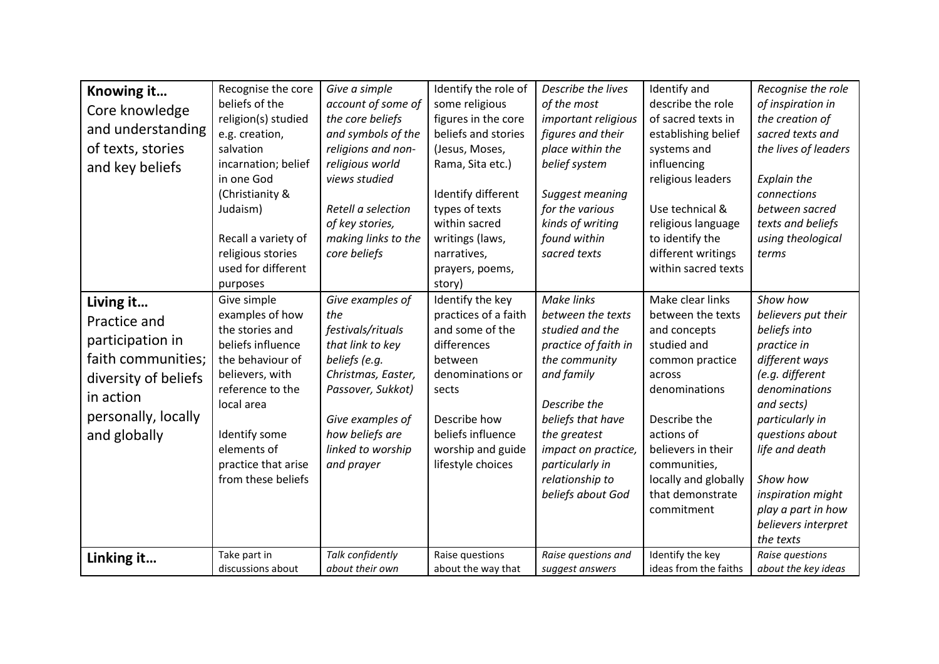| Knowing it<br>Core knowledge<br>and understanding<br>of texts, stories<br>and key beliefs                                                       | Recognise the core<br>beliefs of the<br>religion(s) studied<br>e.g. creation,<br>salvation<br>incarnation; belief<br>in one God<br>(Christianity &<br>Judaism)<br>Recall a variety of<br>religious stories<br>used for different<br>purposes | Give a simple<br>account of some of<br>the core beliefs<br>and symbols of the<br>religions and non-<br>religious world<br>views studied<br>Retell a selection<br>of key stories,<br>making links to the<br>core beliefs | Identify the role of<br>some religious<br>figures in the core<br>beliefs and stories<br>(Jesus, Moses,<br>Rama, Sita etc.)<br>Identify different<br>types of texts<br>within sacred<br>writings (laws,<br>narratives,<br>prayers, poems,<br>story) | Describe the lives<br>of the most<br>important religious<br>figures and their<br>place within the<br>belief system<br>Suggest meaning<br>for the various<br>kinds of writing<br>found within<br>sacred texts                                     | Identify and<br>describe the role<br>of sacred texts in<br>establishing belief<br>systems and<br>influencing<br>religious leaders<br>Use technical &<br>religious language<br>to identify the<br>different writings<br>within sacred texts       | Recognise the role<br>of inspiration in<br>the creation of<br>sacred texts and<br>the lives of leaders<br><b>Explain the</b><br>connections<br>between sacred<br>texts and beliefs<br>using theological<br>terms                                                                      |
|-------------------------------------------------------------------------------------------------------------------------------------------------|----------------------------------------------------------------------------------------------------------------------------------------------------------------------------------------------------------------------------------------------|-------------------------------------------------------------------------------------------------------------------------------------------------------------------------------------------------------------------------|----------------------------------------------------------------------------------------------------------------------------------------------------------------------------------------------------------------------------------------------------|--------------------------------------------------------------------------------------------------------------------------------------------------------------------------------------------------------------------------------------------------|--------------------------------------------------------------------------------------------------------------------------------------------------------------------------------------------------------------------------------------------------|---------------------------------------------------------------------------------------------------------------------------------------------------------------------------------------------------------------------------------------------------------------------------------------|
| Living it<br>Practice and<br>participation in<br>faith communities;<br>diversity of beliefs<br>in action<br>personally, locally<br>and globally | Give simple<br>examples of how<br>the stories and<br>beliefs influence<br>the behaviour of<br>believers, with<br>reference to the<br>local area<br>Identify some<br>elements of<br>practice that arise<br>from these beliefs                 | Give examples of<br>the<br>festivals/rituals<br>that link to key<br>beliefs (e.g.<br>Christmas, Easter,<br>Passover, Sukkot)<br>Give examples of<br>how beliefs are<br>linked to worship<br>and prayer                  | Identify the key<br>practices of a faith<br>and some of the<br>differences<br>between<br>denominations or<br>sects<br>Describe how<br>beliefs influence<br>worship and guide<br>lifestyle choices                                                  | Make links<br>between the texts<br>studied and the<br>practice of faith in<br>the community<br>and family<br>Describe the<br>beliefs that have<br>the greatest<br>impact on practice,<br>particularly in<br>relationship to<br>beliefs about God | Make clear links<br>between the texts<br>and concepts<br>studied and<br>common practice<br>across<br>denominations<br>Describe the<br>actions of<br>believers in their<br>communities,<br>locally and globally<br>that demonstrate<br>commitment | Show how<br>believers put their<br>beliefs into<br>practice in<br>different ways<br>(e.g. different<br>denominations<br>and sects)<br>particularly in<br>questions about<br>life and death<br>Show how<br>inspiration might<br>play a part in how<br>believers interpret<br>the texts |
| Linking it                                                                                                                                      | Take part in<br>discussions about                                                                                                                                                                                                            | Talk confidently<br>about their own                                                                                                                                                                                     | Raise questions<br>about the way that                                                                                                                                                                                                              | Raise questions and<br>suggest answers                                                                                                                                                                                                           | Identify the key<br>ideas from the faiths                                                                                                                                                                                                        | Raise questions<br>about the key ideas                                                                                                                                                                                                                                                |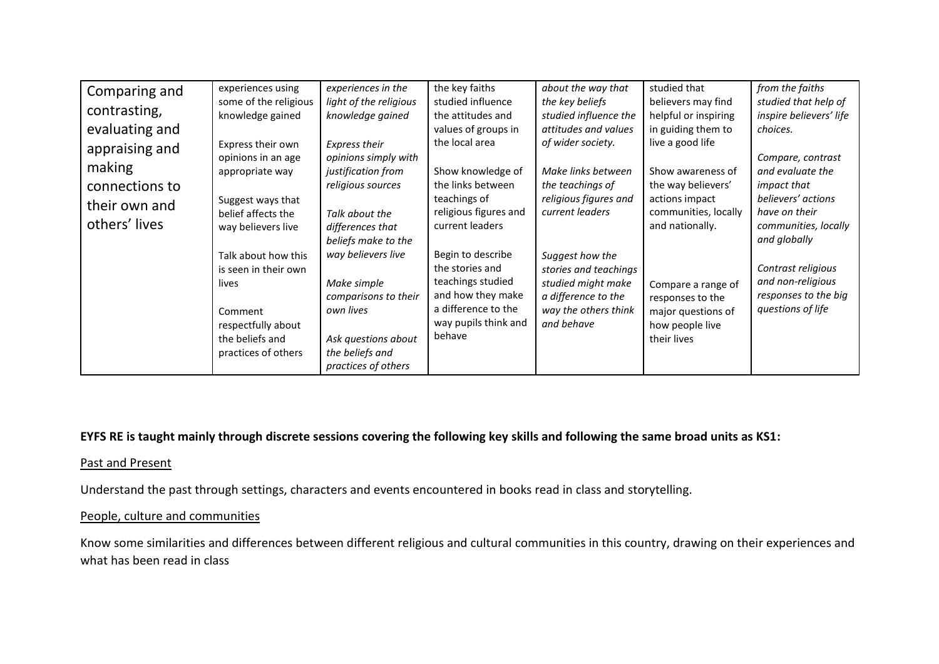| Comparing and<br>contrasting,<br>evaluating and<br>appraising and<br>making<br>connections to<br>their own and | experiences using<br>some of the religious<br>knowledge gained<br>Express their own<br>opinions in an age<br>appropriate way<br>Suggest ways that | experiences in the<br>light of the religious<br>knowledge gained<br>Express their<br>opinions simply with<br>justification from<br>religious sources | the key faiths<br>studied influence<br>the attitudes and<br>values of groups in<br>the local area<br>Show knowledge of<br>the links between<br>teachings of | about the way that<br>the key beliefs<br>studied influence the<br>attitudes and values<br>of wider society.<br>Make links between<br>the teachings of<br>religious figures and<br>current leaders | studied that<br>believers may find<br>helpful or inspiring<br>in guiding them to<br>live a good life<br>Show awareness of<br>the way believers'<br>actions impact | from the faiths<br>studied that help of<br>inspire believers' life<br>choices.<br>Compare, contrast<br>and evaluate the<br>impact that<br>believers' actions<br>have on their |
|----------------------------------------------------------------------------------------------------------------|---------------------------------------------------------------------------------------------------------------------------------------------------|------------------------------------------------------------------------------------------------------------------------------------------------------|-------------------------------------------------------------------------------------------------------------------------------------------------------------|---------------------------------------------------------------------------------------------------------------------------------------------------------------------------------------------------|-------------------------------------------------------------------------------------------------------------------------------------------------------------------|-------------------------------------------------------------------------------------------------------------------------------------------------------------------------------|
| others' lives                                                                                                  | belief affects the<br>way believers live<br>Talk about how this<br>is seen in their own<br>lives<br>Comment                                       | Talk about the<br>differences that<br>beliefs make to the<br>way believers live<br>Make simple<br>comparisons to their<br>own lives                  | religious figures and<br>current leaders<br>Begin to describe<br>the stories and<br>teachings studied<br>and how they make<br>a difference to the           | Suggest how the<br>stories and teachings<br>studied might make<br>a difference to the<br>way the others think                                                                                     | communities, locally<br>and nationally.<br>Compare a range of<br>responses to the<br>major questions of                                                           | communities, locally<br>and globally<br>Contrast religious<br>and non-religious<br>responses to the big<br>questions of life                                                  |
|                                                                                                                | respectfully about<br>the beliefs and<br>practices of others                                                                                      | Ask questions about<br>the beliefs and<br>practices of others                                                                                        | way pupils think and<br>behave                                                                                                                              | and behave                                                                                                                                                                                        | how people live<br>their lives                                                                                                                                    |                                                                                                                                                                               |

## **EYFS RE is taught mainly through discrete sessions covering the following key skills and following the same broad units as KS1:**

### Past and Present

Understand the past through settings, characters and events encountered in books read in class and storytelling.

#### People, culture and communities

Know some similarities and differences between different religious and cultural communities in this country, drawing on their experiences and what has been read in class